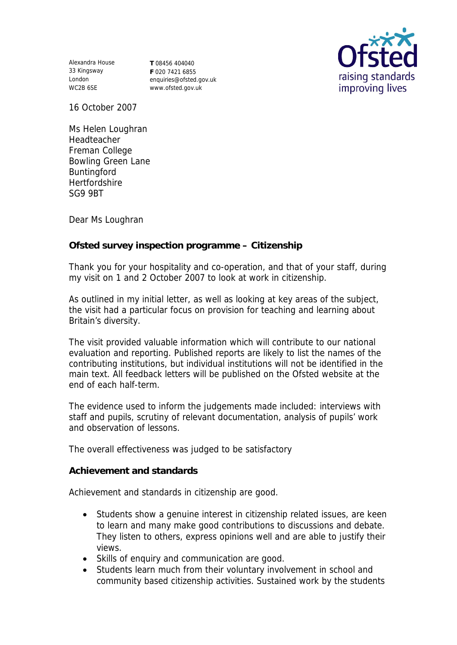Alexandra House 33 Kingsway London WC2B 6SE

**T** 08456 404040 **F** 020 7421 6855 enquiries@ofsted.gov.uk www.ofsted.gov.uk



16 October 2007

Ms Helen Loughran Headteacher Freman College Bowling Green Lane Buntingford Hertfordshire SG9 9BT

Dear Ms Loughran

**Ofsted survey inspection programme – Citizenship** 

Thank you for your hospitality and co-operation, and that of your staff, during my visit on 1 and 2 October 2007 to look at work in citizenship.

As outlined in my initial letter, as well as looking at key areas of the subject, the visit had a particular focus on provision for teaching and learning about Britain's diversity.

The visit provided valuable information which will contribute to our national evaluation and reporting. Published reports are likely to list the names of the contributing institutions, but individual institutions will not be identified in the main text. All feedback letters will be published on the Ofsted website at the end of each half-term.

The evidence used to inform the judgements made included: interviews with staff and pupils, scrutiny of relevant documentation, analysis of pupils' work and observation of lessons.

The overall effectiveness was judged to be satisfactory

**Achievement and standards** 

Achievement and standards in citizenship are good.

- Students show a genuine interest in citizenship related issues, are keen to learn and many make good contributions to discussions and debate. They listen to others, express opinions well and are able to justify their views.
- Skills of enquiry and communication are good.
- Students learn much from their voluntary involvement in school and community based citizenship activities. Sustained work by the students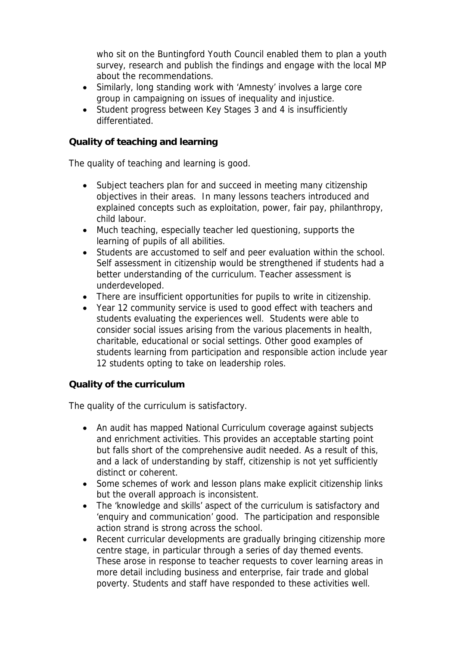who sit on the Buntingford Youth Council enabled them to plan a youth survey, research and publish the findings and engage with the local MP about the recommendations.

- Similarly, long standing work with 'Amnesty' involves a large core group in campaigning on issues of inequality and injustice.
- Student progress between Key Stages 3 and 4 is insufficiently differentiated.

**Quality of teaching and learning** 

The quality of teaching and learning is good.

- Subject teachers plan for and succeed in meeting many citizenship objectives in their areas. In many lessons teachers introduced and explained concepts such as exploitation, power, fair pay, philanthropy, child labour.
- Much teaching, especially teacher led questioning, supports the learning of pupils of all abilities.
- Students are accustomed to self and peer evaluation within the school. Self assessment in citizenship would be strengthened if students had a better understanding of the curriculum. Teacher assessment is underdeveloped.
- There are insufficient opportunities for pupils to write in citizenship.
- Year 12 community service is used to good effect with teachers and students evaluating the experiences well. Students were able to consider social issues arising from the various placements in health, charitable, educational or social settings. Other good examples of students learning from participation and responsible action include year 12 students opting to take on leadership roles.

## **Quality of the curriculum**

The quality of the curriculum is satisfactory.

- An audit has mapped National Curriculum coverage against subjects and enrichment activities. This provides an acceptable starting point but falls short of the comprehensive audit needed. As a result of this, and a lack of understanding by staff, citizenship is not yet sufficiently distinct or coherent.
- Some schemes of work and lesson plans make explicit citizenship links but the overall approach is inconsistent.
- The 'knowledge and skills' aspect of the curriculum is satisfactory and 'enquiry and communication' good. The participation and responsible action strand is strong across the school.
- Recent curricular developments are gradually bringing citizenship more centre stage, in particular through a series of day themed events. These arose in response to teacher requests to cover learning areas in more detail including business and enterprise, fair trade and global poverty. Students and staff have responded to these activities well.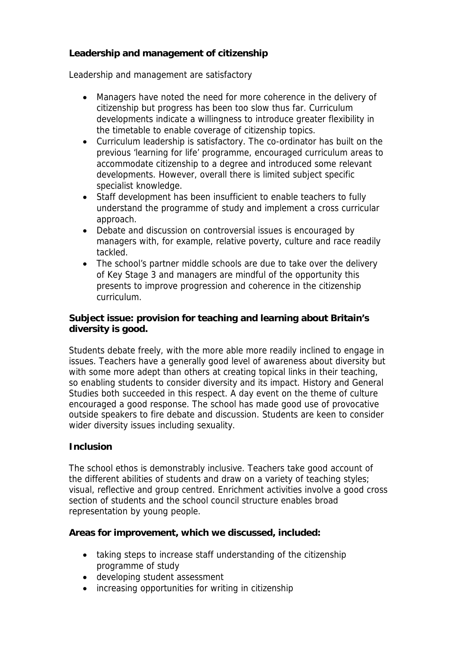**Leadership and management of citizenship**

Leadership and management are satisfactory

- Managers have noted the need for more coherence in the delivery of citizenship but progress has been too slow thus far. Curriculum developments indicate a willingness to introduce greater flexibility in the timetable to enable coverage of citizenship topics.
- Curriculum leadership is satisfactory. The co-ordinator has built on the previous 'learning for life' programme, encouraged curriculum areas to accommodate citizenship to a degree and introduced some relevant developments. However, overall there is limited subject specific specialist knowledge.
- Staff development has been insufficient to enable teachers to fully understand the programme of study and implement a cross curricular approach.
- Debate and discussion on controversial issues is encouraged by managers with, for example, relative poverty, culture and race readily tackled.
- The school's partner middle schools are due to take over the delivery of Key Stage 3 and managers are mindful of the opportunity this presents to improve progression and coherence in the citizenship curriculum.

**Subject issue: provision for teaching and learning about Britain's diversity is good.**

Students debate freely, with the more able more readily inclined to engage in issues. Teachers have a generally good level of awareness about diversity but with some more adept than others at creating topical links in their teaching, so enabling students to consider diversity and its impact. History and General Studies both succeeded in this respect. A day event on the theme of culture encouraged a good response. The school has made good use of provocative outside speakers to fire debate and discussion. Students are keen to consider wider diversity issues including sexuality.

## **Inclusion**

The school ethos is demonstrably inclusive. Teachers take good account of the different abilities of students and draw on a variety of teaching styles; visual, reflective and group centred. Enrichment activities involve a good cross section of students and the school council structure enables broad representation by young people.

**Areas for improvement, which we discussed, included:**

- taking steps to increase staff understanding of the citizenship programme of study
- developing student assessment
- increasing opportunities for writing in citizenship